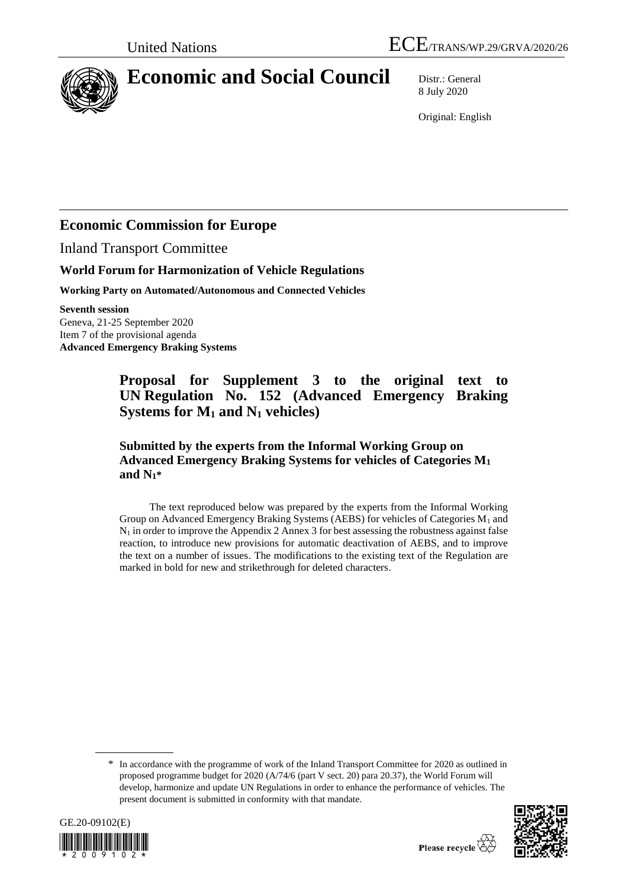

# **Economic and Social Council** Distr.: General

8 July 2020

Original: English

## **Economic Commission for Europe**

Inland Transport Committee

## **World Forum for Harmonization of Vehicle Regulations**

**Working Party on Automated/Autonomous and Connected Vehicles**

**Seventh session**

Geneva, 21-25 September 2020 Item 7 of the provisional agenda **Advanced Emergency Braking Systems**

## **Proposal for Supplement 3 to the original text to UN Regulation No. 152 (Advanced Emergency Braking Systems for M<sup>1</sup> and N<sup>1</sup> vehicles)**

**Submitted by the experts from the Informal Working Group on Advanced Emergency Braking Systems for vehicles of Categories M<sup>1</sup> and N1\***

The text reproduced below was prepared by the experts from the Informal Working Group on Advanced Emergency Braking Systems (AEBS) for vehicles of Categories  $M_1$  and  $N_1$  in order to improve the Appendix 2 Annex 3 for best assessing the robustness against false reaction, to introduce new provisions for automatic deactivation of AEBS, and to improve the text on a number of issues. The modifications to the existing text of the Regulation are marked in bold for new and strikethrough for deleted characters.

<sup>\*</sup> In accordance with the programme of work of the Inland Transport Committee for 2020 as outlined in proposed programme budget for 2020 (A/74/6 (part V sect. 20) para 20.37), the World Forum will develop, harmonize and update UN Regulations in order to enhance the performance of vehicles. The present document is submitted in conformity with that mandate.



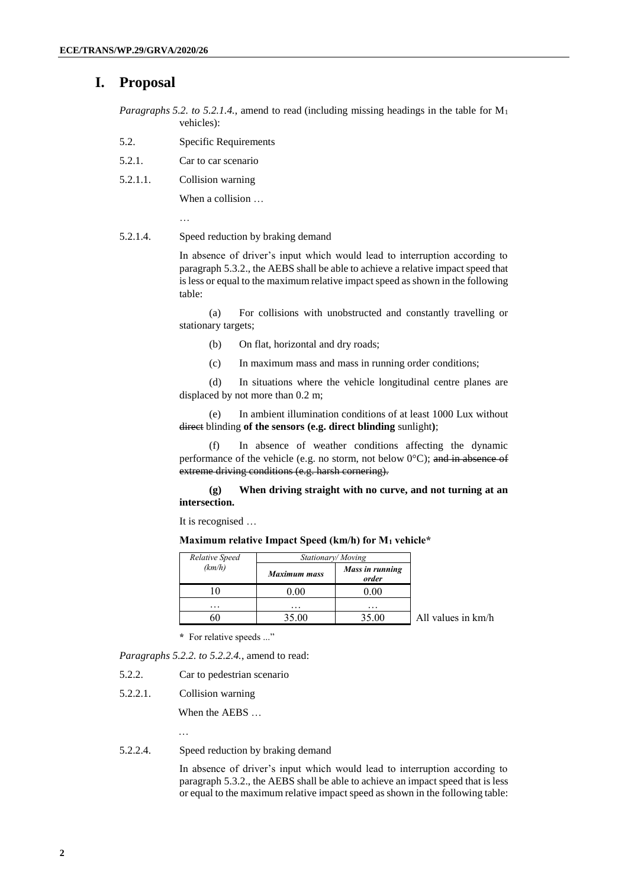## **I. Proposal**

- *Paragraphs 5.2. to 5.2.1.4.*, amend to read (including missing headings in the table for M<sup>1</sup> vehicles):
- 5.2. Specific Requirements
- 5.2.1. Car to car scenario
- 5.2.1.1. Collision warning

…

When a collision …

5.2.1.4. Speed reduction by braking demand

In absence of driver's input which would lead to interruption according to paragraph 5.3.2., the AEBS shall be able to achieve a relative impact speed that is less or equal to the maximum relative impact speed as shown in the following table:

(a) For collisions with unobstructed and constantly travelling or stationary targets;

- (b) On flat, horizontal and dry roads;
- (c) In maximum mass and mass in running order conditions;

(d) In situations where the vehicle longitudinal centre planes are displaced by not more than 0.2 m;

(e) In ambient illumination conditions of at least 1000 Lux without direct blinding **of the sensors (e.g. direct blinding** sunlight**)**;

(f) In absence of weather conditions affecting the dynamic performance of the vehicle (e.g. no storm, not below  $0^{\circ}$ C); and in absence of extreme driving conditions (e.g. harsh cornering).

**(g) When driving straight with no curve, and not turning at an intersection.**

It is recognised …

| Relative Speed<br>(km/h) | Stationary/Moving   |                          |                    |
|--------------------------|---------------------|--------------------------|--------------------|
|                          | <b>Maximum mass</b> | Mass in running<br>order |                    |
|                          | 0.00                | 0.00                     |                    |
| .                        | $\cdots$            | $\cdots$                 |                    |
|                          | 35.00               | 35.00                    | All values in km/h |

**Maximum relative Impact Speed (km/h) for M<sup>1</sup> vehicle\***

**\*** For relative speeds ..."

*Paragraphs 5.2.2. to 5.2.2.4.*, amend to read:

- 5.2.2. Car to pedestrian scenario
- 5.2.2.1. Collision warning

When the AEBS …

…

#### 5.2.2.4. Speed reduction by braking demand

In absence of driver's input which would lead to interruption according to paragraph 5.3.2., the AEBS shall be able to achieve an impact speed that is less or equal to the maximum relative impact speed as shown in the following table: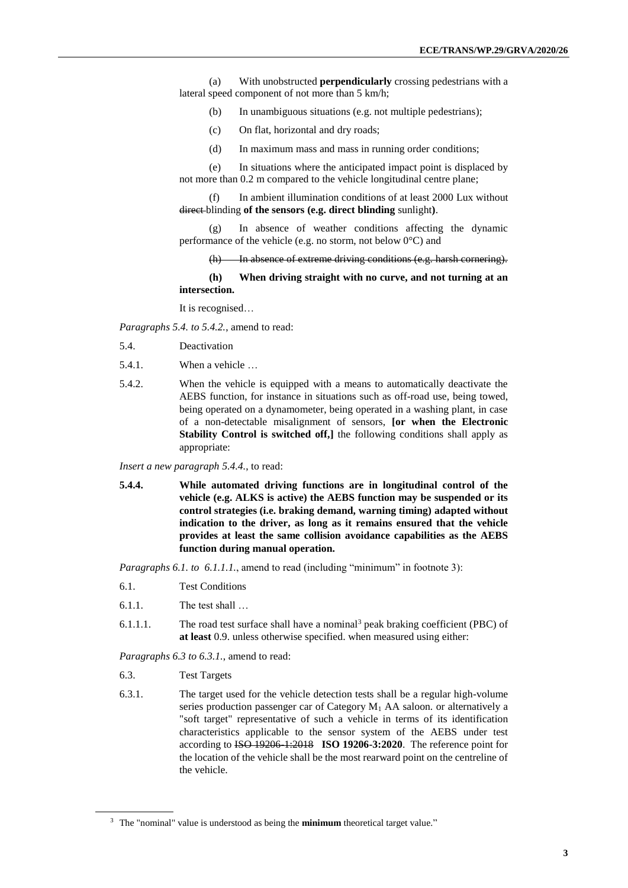(a) With unobstructed **perpendicularly** crossing pedestrians with a lateral speed component of not more than 5 km/h;

- (b) In unambiguous situations (e.g. not multiple pedestrians);
- (c) On flat, horizontal and dry roads;
- (d) In maximum mass and mass in running order conditions;

(e) In situations where the anticipated impact point is displaced by not more than 0.2 m compared to the vehicle longitudinal centre plane;

(f) In ambient illumination conditions of at least 2000 Lux without direct blinding **of the sensors (e.g. direct blinding** sunlight**)**.

(g) In absence of weather conditions affecting the dynamic performance of the vehicle (e.g. no storm, not below 0°C) and

#### (h) In absence of extreme driving conditions (e.g. harsh cornering).

**(h) When driving straight with no curve, and not turning at an intersection.**

It is recognised…

*Paragraphs 5.4. to 5.4.2.*, amend to read:

- 5.4. Deactivation
- 5.4.1. When a vehicle …
- 5.4.2. When the vehicle is equipped with a means to automatically deactivate the AEBS function, for instance in situations such as off-road use, being towed, being operated on a dynamometer, being operated in a washing plant, in case of a non-detectable misalignment of sensors, **[or when the Electronic Stability Control is switched off,** the following conditions shall apply as appropriate:

*Insert a new paragraph 5.4.4.*, to read:

**5.4.4. While automated driving functions are in longitudinal control of the vehicle (e.g. ALKS is active) the AEBS function may be suspended or its control strategies (i.e. braking demand, warning timing) adapted without indication to the driver, as long as it remains ensured that the vehicle provides at least the same collision avoidance capabilities as the AEBS function during manual operation.**

*Paragraphs 6.1. to 6.1.1.1.*, amend to read (including "minimum" in footnote 3):

- 6.1. Test Conditions
- 6.1.1. The test shall …
- 6.1.1.1. The road test surface shall have a nominal<sup>3</sup> peak braking coefficient (PBC) of **at least** 0.9. unless otherwise specified. when measured using either:

*Paragraphs 6.3 to 6.3.1.*, amend to read:

- 6.3. Test Targets
- 6.3.1. The target used for the vehicle detection tests shall be a regular high-volume series production passenger car of Category  $M_1$  AA saloon. or alternatively a "soft target" representative of such a vehicle in terms of its identification characteristics applicable to the sensor system of the AEBS under test according to ISO 19206-1:2018 **ISO 19206-3:2020**. The reference point for the location of the vehicle shall be the most rearward point on the centreline of the vehicle.

<sup>3</sup> The "nominal" value is understood as being the **minimum** theoretical target value."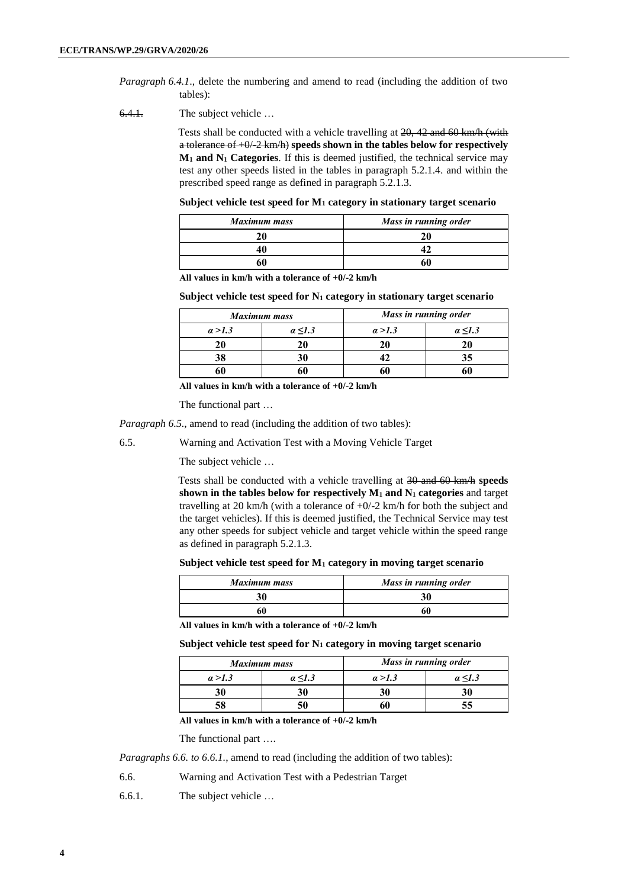- *Paragraph 6.4.1*., delete the numbering and amend to read (including the addition of two tables):
- 6.4.1. The subject vehicle …

Tests shall be conducted with a vehicle travelling at 20, 42 and 60 km/h (with a tolerance of +0/-2 km/h) **speeds shown in the tables below for respectively M<sup>1</sup> and N<sup>1</sup> Categories**. If this is deemed justified, the technical service may test any other speeds listed in the tables in paragraph 5.2.1.4. and within the prescribed speed range as defined in paragraph 5.2.1.3.

**Subject vehicle test speed for M<sup>1</sup> category in stationary target scenario**

| <b>Maximum mass</b> | Mass in running order |
|---------------------|-----------------------|
|                     |                       |
|                     |                       |
|                     |                       |

**All values in km/h with a tolerance of +0/-2 km/h**

**Subject vehicle test speed for N<sup>1</sup> category in stationary target scenario**

| Maximum mass   |                   | Mass in running order |              |
|----------------|-------------------|-----------------------|--------------|
| $\alpha > 1.3$ | $\alpha \leq 1.3$ | a > 1.3               | $a \leq 1.3$ |
| 20             |                   | 20                    |              |
| 38             |                   |                       |              |
|                |                   |                       |              |

**All values in km/h with a tolerance of +0/-2 km/h**

The functional part …

*Paragraph 6.5.*, amend to read (including the addition of two tables):

6.5. Warning and Activation Test with a Moving Vehicle Target

The subject vehicle …

Tests shall be conducted with a vehicle travelling at 30 and 60 km/h **speeds shown in the tables below for respectively M<sup>1</sup> and N<sup>1</sup> categories** and target travelling at 20 km/h (with a tolerance of  $+0/-2$  km/h for both the subject and the target vehicles). If this is deemed justified, the Technical Service may test any other speeds for subject vehicle and target vehicle within the speed range as defined in paragraph 5.2.1.3.

#### **Subject vehicle test speed for M<sup>1</sup> category in moving target scenario**

| Maximum mass | Mass in running order |  |
|--------------|-----------------------|--|
|              | 30                    |  |
|              | 60                    |  |

**All values in km/h with a tolerance of +0/-2 km/h**

**Subject vehicle test speed for N<sup>1</sup> category in moving target scenario**

| <b>Maximum mass</b> |                   | Mass in running order |              |
|---------------------|-------------------|-----------------------|--------------|
| a > 1.3             | $\alpha \leq 1.3$ | a > 1.3               | $a \leq 1.3$ |
|                     |                   | 30                    |              |
|                     | 50                |                       |              |

**All values in km/h with a tolerance of +0/-2 km/h**

The functional part ….

*Paragraphs 6.6. to 6.6.1.*, amend to read (including the addition of two tables):

6.6. Warning and Activation Test with a Pedestrian Target

6.6.1. The subject vehicle …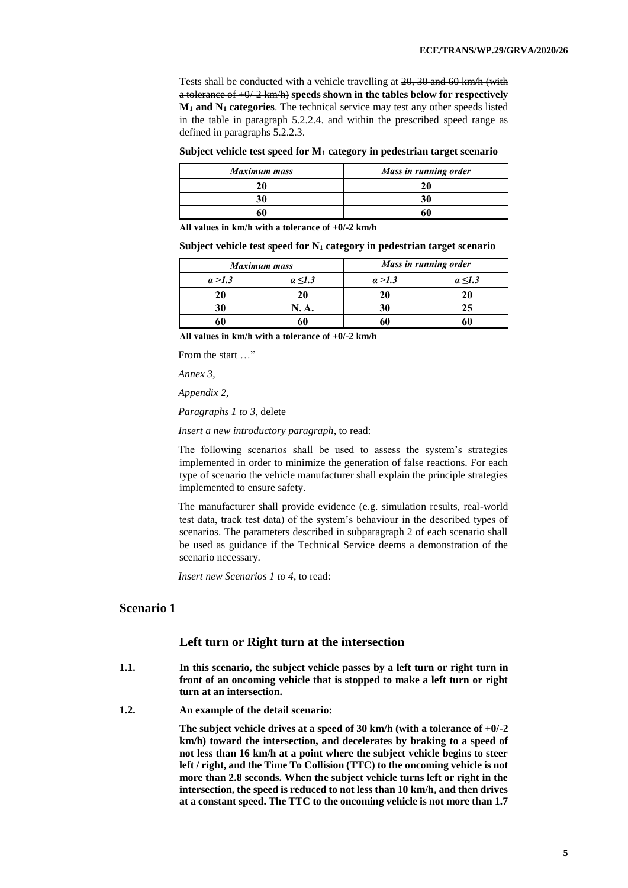Tests shall be conducted with a vehicle travelling at 20, 30 and 60 km/h (with a tolerance of +0/-2 km/h) **speeds shown in the tables below for respectively M<sup>1</sup> and N<sup>1</sup> categories**. The technical service may test any other speeds listed in the table in paragraph 5.2.2.4. and within the prescribed speed range as defined in paragraphs 5.2.2.3.

#### **Subject vehicle test speed for M<sup>1</sup> category in pedestrian target scenario**

| <b>Maximum mass</b> | Mass in running order |  |
|---------------------|-----------------------|--|
|                     |                       |  |
|                     |                       |  |
|                     |                       |  |

**All values in km/h with a tolerance of +0/-2 km/h**

#### **Subject vehicle test speed for N<sup>1</sup> category in pedestrian target scenario**

| <b>Maximum mass</b> |                   | Mass in running order |              |
|---------------------|-------------------|-----------------------|--------------|
| a > 1.3             | $\alpha \leq 1.3$ | a > 1.3               | $a \leq 1.3$ |
| 20                  | 20                | 20                    |              |
| 30                  | N. A.             |                       | 25           |
|                     |                   |                       |              |

**All values in km/h with a tolerance of +0/-2 km/h**

From the start …"

*Annex 3,* 

*Appendix 2,*

*Paragraphs 1 to 3*, delete

*Insert a new introductory paragraph*, to read:

The following scenarios shall be used to assess the system's strategies implemented in order to minimize the generation of false reactions. For each type of scenario the vehicle manufacturer shall explain the principle strategies implemented to ensure safety.

The manufacturer shall provide evidence (e.g. simulation results, real-world test data, track test data) of the system's behaviour in the described types of scenarios. The parameters described in subparagraph 2 of each scenario shall be used as guidance if the Technical Service deems a demonstration of the scenario necessary.

*Insert new Scenarios 1 to 4*, to read:

#### **Scenario 1**

#### **Left turn or Right turn at the intersection**

- **1.1. In this scenario, the subject vehicle passes by a left turn or right turn in front of an oncoming vehicle that is stopped to make a left turn or right turn at an intersection.**
- **1.2. An example of the detail scenario:**

**The subject vehicle drives at a speed of 30 km/h (with a tolerance of +0/-2 km/h) toward the intersection, and decelerates by braking to a speed of not less than 16 km/h at a point where the subject vehicle begins to steer left / right, and the Time To Collision (TTC) to the oncoming vehicle is not more than 2.8 seconds. When the subject vehicle turns left or right in the intersection, the speed is reduced to not less than 10 km/h, and then drives at a constant speed. The TTC to the oncoming vehicle is not more than 1.7**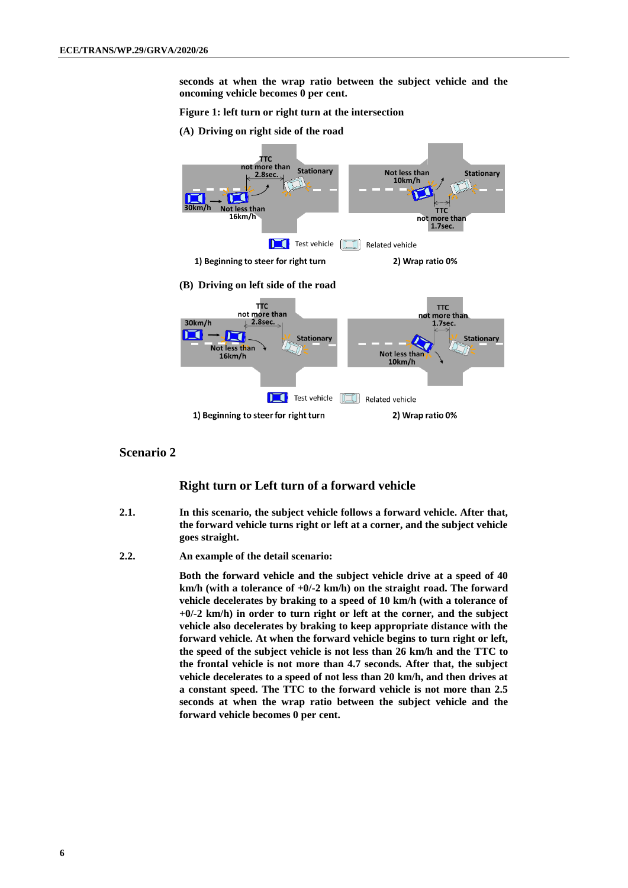**seconds at when the wrap ratio between the subject vehicle and the oncoming vehicle becomes 0 per cent.**

#### **Figure 1: left turn or right turn at the intersection**

**(A) Driving on right side of the road**



#### **Scenario 2**

#### **Right turn or Left turn of a forward vehicle**

- **2.1. In this scenario, the subject vehicle follows a forward vehicle. After that, the forward vehicle turns right or left at a corner, and the subject vehicle goes straight.**
- **2.2. An example of the detail scenario:**

**Both the forward vehicle and the subject vehicle drive at a speed of 40 km/h (with a tolerance of +0/-2 km/h) on the straight road. The forward vehicle decelerates by braking to a speed of 10 km/h (with a tolerance of +0/-2 km/h) in order to turn right or left at the corner, and the subject vehicle also decelerates by braking to keep appropriate distance with the forward vehicle. At when the forward vehicle begins to turn right or left, the speed of the subject vehicle is not less than 26 km/h and the TTC to the frontal vehicle is not more than 4.7 seconds. After that, the subject vehicle decelerates to a speed of not less than 20 km/h, and then drives at a constant speed. The TTC to the forward vehicle is not more than 2.5 seconds at when the wrap ratio between the subject vehicle and the forward vehicle becomes 0 per cent.**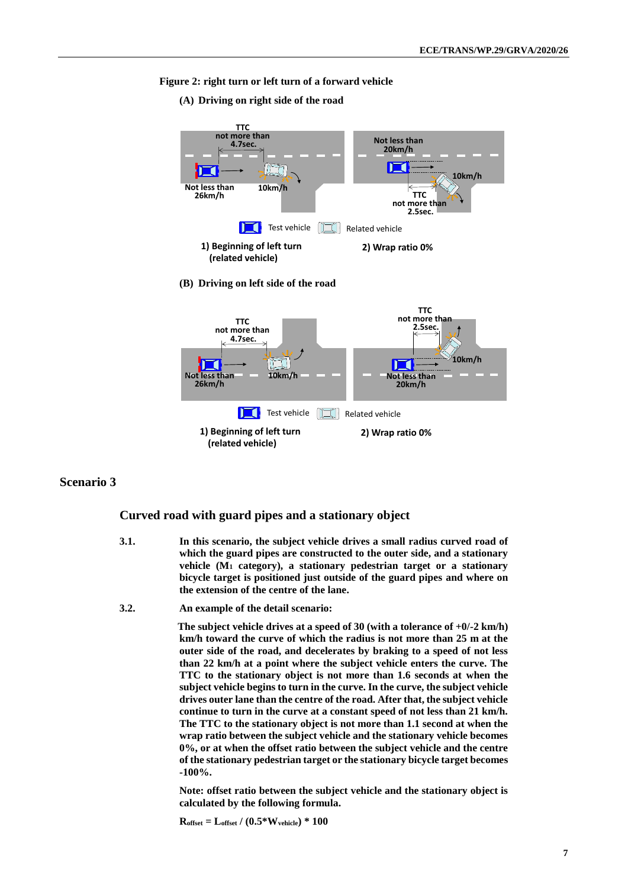#### **Figure 2: right turn or left turn of a forward vehicle**

**(A) Driving on right side of the road**



### **Scenario 3**

#### **Curved road with guard pipes and a stationary object**

- **3.1. In this scenario, the subject vehicle drives a small radius curved road of which the guard pipes are constructed to the outer side, and a stationary vehicle (M<sup>1</sup> category), a stationary pedestrian target or a stationary bicycle target is positioned just outside of the guard pipes and where on the extension of the centre of the lane.**
- **3.2. An example of the detail scenario:**

**The subject vehicle drives at a speed of 30 (with a tolerance of +0/-2 km/h) km/h toward the curve of which the radius is not more than 25 m at the outer side of the road, and decelerates by braking to a speed of not less than 22 km/h at a point where the subject vehicle enters the curve. The TTC to the stationary object is not more than 1.6 seconds at when the subject vehicle begins to turn in the curve. In the curve, the subject vehicle drives outer lane than the centre of the road. After that, the subject vehicle continue to turn in the curve at a constant speed of not less than 21 km/h. The TTC to the stationary object is not more than 1.1 second at when the wrap ratio between the subject vehicle and the stationary vehicle becomes 0%, or at when the offset ratio between the subject vehicle and the centre of the stationary pedestrian target or the stationary bicycle target becomes -100%.** 

**Note: offset ratio between the subject vehicle and the stationary object is calculated by the following formula.**

**Roffset = Loffset / (0.5\*Wvehicle) \* 100**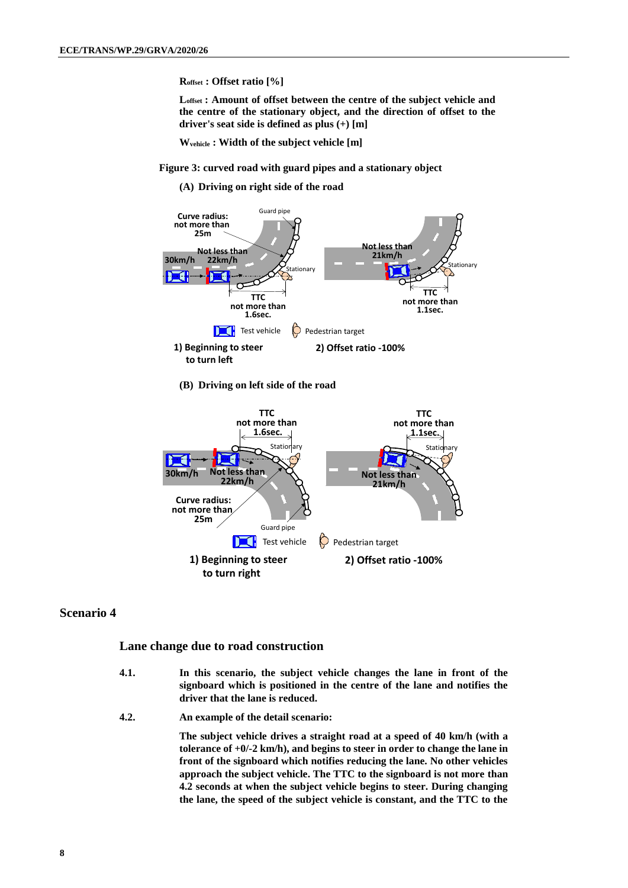**Roffset : Offset ratio [%]**

**Loffset : Amount of offset between the centre of the subject vehicle and the centre of the stationary object, and the direction of offset to the driver's seat side is defined as plus (+) [m]**

**Wvehicle : Width of the subject vehicle [m]** 

**Figure 3: curved road with guard pipes and a stationary object**

**(A) Driving on right side of the road**



**(B) Driving on left side of the road**



#### **Scenario 4**

#### **Lane change due to road construction**

- **4.1. In this scenario, the subject vehicle changes the lane in front of the signboard which is positioned in the centre of the lane and notifies the driver that the lane is reduced.**
- **4.2. An example of the detail scenario:**

**The subject vehicle drives a straight road at a speed of 40 km/h (with a tolerance of +0/-2 km/h), and begins to steer in order to change the lane in front of the signboard which notifies reducing the lane. No other vehicles approach the subject vehicle. The TTC to the signboard is not more than 4.2 seconds at when the subject vehicle begins to steer. During changing the lane, the speed of the subject vehicle is constant, and the TTC to the**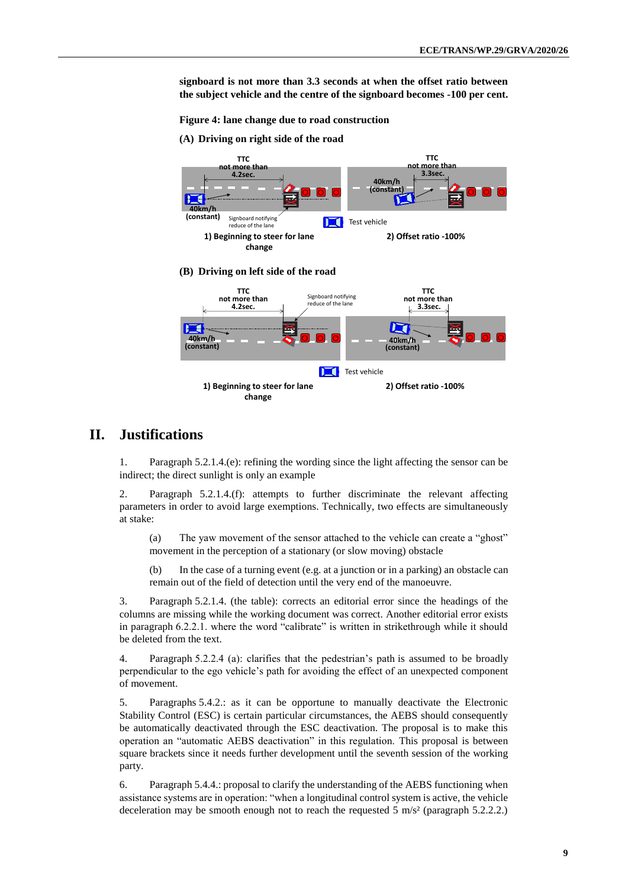**signboard is not more than 3.3 seconds at when the offset ratio between the subject vehicle and the centre of the signboard becomes -100 per cent.** 

**Figure 4: lane change due to road construction**

**(A) Driving on right side of the road**



### **II. Justifications**

1. Paragraph 5.2.1.4.(e): refining the wording since the light affecting the sensor can be indirect; the direct sunlight is only an example

2. Paragraph 5.2.1.4.(f): attempts to further discriminate the relevant affecting parameters in order to avoid large exemptions. Technically, two effects are simultaneously at stake:

(a) The yaw movement of the sensor attached to the vehicle can create a "ghost" movement in the perception of a stationary (or slow moving) obstacle

(b) In the case of a turning event (e.g. at a junction or in a parking) an obstacle can remain out of the field of detection until the very end of the manoeuvre.

3. Paragraph 5.2.1.4. (the table): corrects an editorial error since the headings of the columns are missing while the working document was correct. Another editorial error exists in paragraph 6.2.2.1. where the word "calibrate" is written in strikethrough while it should be deleted from the text.

4. Paragraph 5.2.2.4 (a): clarifies that the pedestrian's path is assumed to be broadly perpendicular to the ego vehicle's path for avoiding the effect of an unexpected component of movement.

5. Paragraphs 5.4.2.: as it can be opportune to manually deactivate the Electronic Stability Control (ESC) is certain particular circumstances, the AEBS should consequently be automatically deactivated through the ESC deactivation. The proposal is to make this operation an "automatic AEBS deactivation" in this regulation. This proposal is between square brackets since it needs further development until the seventh session of the working party.

6. Paragraph 5.4.4.: proposal to clarify the understanding of the AEBS functioning when assistance systems are in operation: "when a longitudinal control system is active, the vehicle deceleration may be smooth enough not to reach the requested 5 m/s<sup>2</sup> (paragraph 5.2.2.2.)